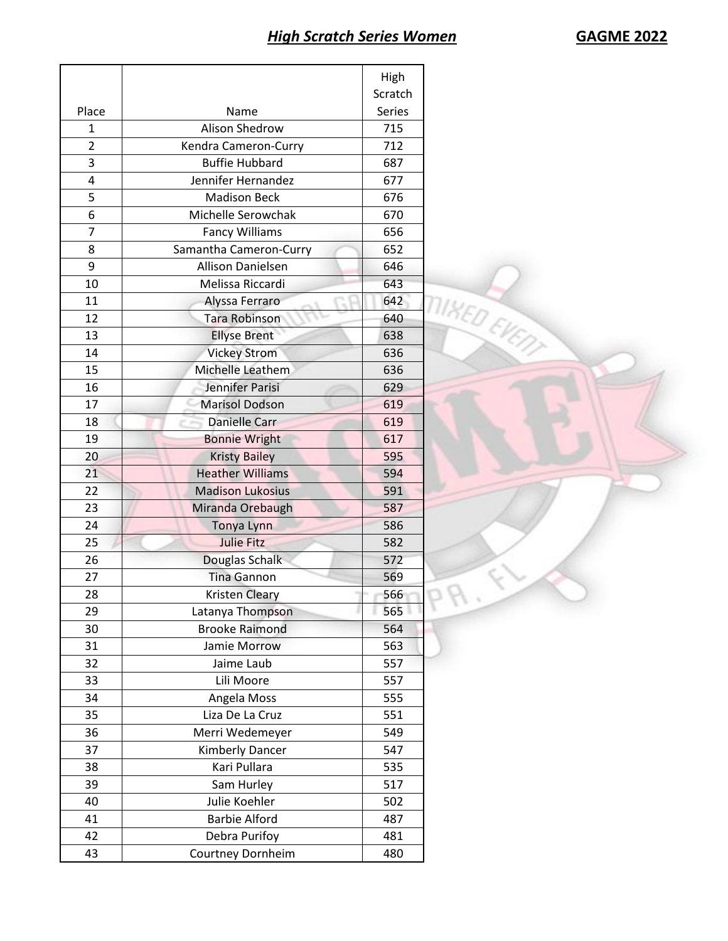|                |                         | High    |                    |
|----------------|-------------------------|---------|--------------------|
|                |                         | Scratch |                    |
| Place          | Name                    | Series  |                    |
| 1              | <b>Alison Shedrow</b>   | 715     |                    |
| $\overline{2}$ | Kendra Cameron-Curry    | 712     |                    |
| 3              | <b>Buffie Hubbard</b>   | 687     |                    |
| 4              | Jennifer Hernandez      | 677     |                    |
| 5              | <b>Madison Beck</b>     | 676     |                    |
| 6              | Michelle Serowchak      | 670     |                    |
| 7              | <b>Fancy Williams</b>   | 656     |                    |
| 8              | Samantha Cameron-Curry  | 652     |                    |
| 9              | Allison Danielsen       | 646     |                    |
| 10             | Melissa Riccardi        | 643     |                    |
| 11             | Alyssa Ferraro          | 642     | <b>MIKED EVENT</b> |
| 12             | <b>Tara Robinson</b>    | 640     |                    |
| 13             | <b>Ellyse Brent</b>     | 638     |                    |
| 14             | <b>Vickey Strom</b>     | 636     |                    |
| 15             | Michelle Leathem        | 636     |                    |
| 16             | Jennifer Parisi         | 629     |                    |
| 17             | <b>Marisol Dodson</b>   | 619     |                    |
| 18             | <b>Danielle Carr</b>    | 619     |                    |
| 19             | <b>Bonnie Wright</b>    | 617     |                    |
| 20             | <b>Kristy Bailey</b>    | 595     |                    |
| 21             | <b>Heather Williams</b> | 594     |                    |
| 22             | <b>Madison Lukosius</b> | 591     |                    |
| 23             | Miranda Orebaugh        | 587     |                    |
| 24             | Tonya Lynn              | 586     |                    |
| 25             | <b>Julie Fitz</b>       | 582     |                    |
| 26             | Douglas Schalk          | 572     |                    |
| 27             | <b>Tina Gannon</b>      | 569     |                    |
| 28             | <b>Kristen Cleary</b>   | 566     |                    |
| 29             | Latanya Thompson        | 565     | x                  |
| 30             | <b>Brooke Raimond</b>   | 564     |                    |
| 31             | Jamie Morrow            | 563     |                    |
| 32             | Jaime Laub              | 557     |                    |
| 33             | Lili Moore              | 557     |                    |
| 34             | Angela Moss             | 555     |                    |
| 35             | Liza De La Cruz         | 551     |                    |
| 36             | Merri Wedemeyer         | 549     |                    |
| 37             | Kimberly Dancer         | 547     |                    |
| 38             | Kari Pullara            | 535     |                    |
| 39             | Sam Hurley              | 517     |                    |
| 40             | Julie Koehler           | 502     |                    |
| 41             | <b>Barbie Alford</b>    | 487     |                    |
| 42             | Debra Purifoy           | 481     |                    |
| 43             | Courtney Dornheim       | 480     |                    |
|                |                         |         |                    |